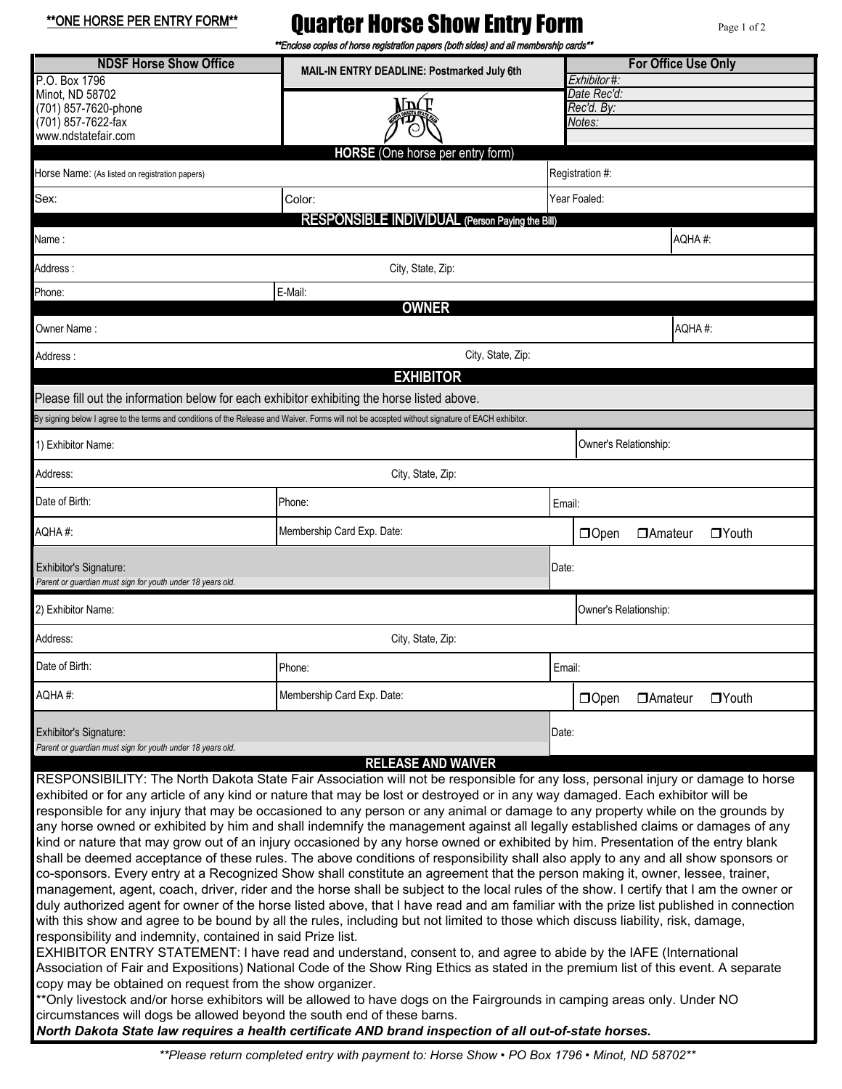\*\*ONE HORSE PER ENTRY FORM\*\*

## Quarter Horse Show Entry Form

Page 1 of 2

|                                                                                                                                                                                                    | **Enclose copies of horse registration papers (both sides) and all membership cards**                                                                                                                                                                                                                                                                                                                                                                                                                                                                                                                                                                                                                                                                                                                                                                                                                                                                                                                                                                                                                                                                                                                                                                                                                                                                                                                                                                                                                                                                                                                                                                                                                                                                                 |       |                                           |                       |              |  |  |
|----------------------------------------------------------------------------------------------------------------------------------------------------------------------------------------------------|-----------------------------------------------------------------------------------------------------------------------------------------------------------------------------------------------------------------------------------------------------------------------------------------------------------------------------------------------------------------------------------------------------------------------------------------------------------------------------------------------------------------------------------------------------------------------------------------------------------------------------------------------------------------------------------------------------------------------------------------------------------------------------------------------------------------------------------------------------------------------------------------------------------------------------------------------------------------------------------------------------------------------------------------------------------------------------------------------------------------------------------------------------------------------------------------------------------------------------------------------------------------------------------------------------------------------------------------------------------------------------------------------------------------------------------------------------------------------------------------------------------------------------------------------------------------------------------------------------------------------------------------------------------------------------------------------------------------------------------------------------------------------|-------|-------------------------------------------|-----------------------|--------------|--|--|
| <b>NDSF Horse Show Office</b><br>P.O. Box 1796                                                                                                                                                     | MAIL-IN ENTRY DEADLINE: Postmarked July 6th                                                                                                                                                                                                                                                                                                                                                                                                                                                                                                                                                                                                                                                                                                                                                                                                                                                                                                                                                                                                                                                                                                                                                                                                                                                                                                                                                                                                                                                                                                                                                                                                                                                                                                                           |       | <b>For Office Use Only</b><br>Exhibitor#: |                       |              |  |  |
| Minot, ND 58702                                                                                                                                                                                    |                                                                                                                                                                                                                                                                                                                                                                                                                                                                                                                                                                                                                                                                                                                                                                                                                                                                                                                                                                                                                                                                                                                                                                                                                                                                                                                                                                                                                                                                                                                                                                                                                                                                                                                                                                       |       | Date Rec'd:<br>Rec'd. By:                 |                       |              |  |  |
| (701) 857-7620-phone                                                                                                                                                                               | LDCI                                                                                                                                                                                                                                                                                                                                                                                                                                                                                                                                                                                                                                                                                                                                                                                                                                                                                                                                                                                                                                                                                                                                                                                                                                                                                                                                                                                                                                                                                                                                                                                                                                                                                                                                                                  |       |                                           |                       |              |  |  |
| (701) 857-7622-fax<br>www.ndstatefair.com                                                                                                                                                          |                                                                                                                                                                                                                                                                                                                                                                                                                                                                                                                                                                                                                                                                                                                                                                                                                                                                                                                                                                                                                                                                                                                                                                                                                                                                                                                                                                                                                                                                                                                                                                                                                                                                                                                                                                       |       | Notes:                                    |                       |              |  |  |
|                                                                                                                                                                                                    | <b>HORSE</b> (One horse per entry form)                                                                                                                                                                                                                                                                                                                                                                                                                                                                                                                                                                                                                                                                                                                                                                                                                                                                                                                                                                                                                                                                                                                                                                                                                                                                                                                                                                                                                                                                                                                                                                                                                                                                                                                               |       |                                           |                       |              |  |  |
| Horse Name: (As listed on registration papers)                                                                                                                                                     |                                                                                                                                                                                                                                                                                                                                                                                                                                                                                                                                                                                                                                                                                                                                                                                                                                                                                                                                                                                                                                                                                                                                                                                                                                                                                                                                                                                                                                                                                                                                                                                                                                                                                                                                                                       |       | Registration #:                           |                       |              |  |  |
| Sex:                                                                                                                                                                                               | Color:                                                                                                                                                                                                                                                                                                                                                                                                                                                                                                                                                                                                                                                                                                                                                                                                                                                                                                                                                                                                                                                                                                                                                                                                                                                                                                                                                                                                                                                                                                                                                                                                                                                                                                                                                                |       | Year Foaled:                              |                       |              |  |  |
|                                                                                                                                                                                                    | <b>RESPONSIBLE INDIVIDUAL (Person Paying the Bill)</b>                                                                                                                                                                                                                                                                                                                                                                                                                                                                                                                                                                                                                                                                                                                                                                                                                                                                                                                                                                                                                                                                                                                                                                                                                                                                                                                                                                                                                                                                                                                                                                                                                                                                                                                |       |                                           |                       |              |  |  |
| Name :                                                                                                                                                                                             |                                                                                                                                                                                                                                                                                                                                                                                                                                                                                                                                                                                                                                                                                                                                                                                                                                                                                                                                                                                                                                                                                                                                                                                                                                                                                                                                                                                                                                                                                                                                                                                                                                                                                                                                                                       |       |                                           |                       | AQHA#:       |  |  |
| Address:                                                                                                                                                                                           | City, State, Zip:                                                                                                                                                                                                                                                                                                                                                                                                                                                                                                                                                                                                                                                                                                                                                                                                                                                                                                                                                                                                                                                                                                                                                                                                                                                                                                                                                                                                                                                                                                                                                                                                                                                                                                                                                     |       |                                           |                       |              |  |  |
| Phone:                                                                                                                                                                                             | E-Mail:                                                                                                                                                                                                                                                                                                                                                                                                                                                                                                                                                                                                                                                                                                                                                                                                                                                                                                                                                                                                                                                                                                                                                                                                                                                                                                                                                                                                                                                                                                                                                                                                                                                                                                                                                               |       |                                           |                       |              |  |  |
| Owner Name :                                                                                                                                                                                       | <b>OWNER</b>                                                                                                                                                                                                                                                                                                                                                                                                                                                                                                                                                                                                                                                                                                                                                                                                                                                                                                                                                                                                                                                                                                                                                                                                                                                                                                                                                                                                                                                                                                                                                                                                                                                                                                                                                          |       |                                           |                       | AQHA#:       |  |  |
|                                                                                                                                                                                                    | City, State, Zip:                                                                                                                                                                                                                                                                                                                                                                                                                                                                                                                                                                                                                                                                                                                                                                                                                                                                                                                                                                                                                                                                                                                                                                                                                                                                                                                                                                                                                                                                                                                                                                                                                                                                                                                                                     |       |                                           |                       |              |  |  |
| Address :                                                                                                                                                                                          | <b>EXHIBITOR</b>                                                                                                                                                                                                                                                                                                                                                                                                                                                                                                                                                                                                                                                                                                                                                                                                                                                                                                                                                                                                                                                                                                                                                                                                                                                                                                                                                                                                                                                                                                                                                                                                                                                                                                                                                      |       |                                           |                       |              |  |  |
| Please fill out the information below for each exhibitor exhibiting the horse listed above.                                                                                                        |                                                                                                                                                                                                                                                                                                                                                                                                                                                                                                                                                                                                                                                                                                                                                                                                                                                                                                                                                                                                                                                                                                                                                                                                                                                                                                                                                                                                                                                                                                                                                                                                                                                                                                                                                                       |       |                                           |                       |              |  |  |
|                                                                                                                                                                                                    | By signing below I agree to the terms and conditions of the Release and Waiver. Forms will not be accepted without signature of EACH exhibitor.                                                                                                                                                                                                                                                                                                                                                                                                                                                                                                                                                                                                                                                                                                                                                                                                                                                                                                                                                                                                                                                                                                                                                                                                                                                                                                                                                                                                                                                                                                                                                                                                                       |       |                                           |                       |              |  |  |
| 1) Exhibitor Name:                                                                                                                                                                                 |                                                                                                                                                                                                                                                                                                                                                                                                                                                                                                                                                                                                                                                                                                                                                                                                                                                                                                                                                                                                                                                                                                                                                                                                                                                                                                                                                                                                                                                                                                                                                                                                                                                                                                                                                                       |       |                                           | Owner's Relationship: |              |  |  |
| Address:                                                                                                                                                                                           | City, State, Zip:                                                                                                                                                                                                                                                                                                                                                                                                                                                                                                                                                                                                                                                                                                                                                                                                                                                                                                                                                                                                                                                                                                                                                                                                                                                                                                                                                                                                                                                                                                                                                                                                                                                                                                                                                     |       |                                           |                       |              |  |  |
| Date of Birth:                                                                                                                                                                                     | Phone:                                                                                                                                                                                                                                                                                                                                                                                                                                                                                                                                                                                                                                                                                                                                                                                                                                                                                                                                                                                                                                                                                                                                                                                                                                                                                                                                                                                                                                                                                                                                                                                                                                                                                                                                                                |       | Email:                                    |                       |              |  |  |
| AQHA#:                                                                                                                                                                                             | Membership Card Exp. Date:                                                                                                                                                                                                                                                                                                                                                                                                                                                                                                                                                                                                                                                                                                                                                                                                                                                                                                                                                                                                                                                                                                                                                                                                                                                                                                                                                                                                                                                                                                                                                                                                                                                                                                                                            |       | $\Box$ Open                               | <b>DAmateur</b>       | $\Box$ Youth |  |  |
| Exhibitor's Signature:<br>Parent or quardian must sign for youth under 18 years old.                                                                                                               |                                                                                                                                                                                                                                                                                                                                                                                                                                                                                                                                                                                                                                                                                                                                                                                                                                                                                                                                                                                                                                                                                                                                                                                                                                                                                                                                                                                                                                                                                                                                                                                                                                                                                                                                                                       | Date: |                                           |                       |              |  |  |
| 2) Exhibitor Name:                                                                                                                                                                                 |                                                                                                                                                                                                                                                                                                                                                                                                                                                                                                                                                                                                                                                                                                                                                                                                                                                                                                                                                                                                                                                                                                                                                                                                                                                                                                                                                                                                                                                                                                                                                                                                                                                                                                                                                                       |       | Owner's Relationship:                     |                       |              |  |  |
| Address:                                                                                                                                                                                           | City, State, Zip:                                                                                                                                                                                                                                                                                                                                                                                                                                                                                                                                                                                                                                                                                                                                                                                                                                                                                                                                                                                                                                                                                                                                                                                                                                                                                                                                                                                                                                                                                                                                                                                                                                                                                                                                                     |       |                                           |                       |              |  |  |
| Date of Birth:                                                                                                                                                                                     | Phone:                                                                                                                                                                                                                                                                                                                                                                                                                                                                                                                                                                                                                                                                                                                                                                                                                                                                                                                                                                                                                                                                                                                                                                                                                                                                                                                                                                                                                                                                                                                                                                                                                                                                                                                                                                |       | Email:                                    |                       |              |  |  |
| AQHA#:                                                                                                                                                                                             | Membership Card Exp. Date:                                                                                                                                                                                                                                                                                                                                                                                                                                                                                                                                                                                                                                                                                                                                                                                                                                                                                                                                                                                                                                                                                                                                                                                                                                                                                                                                                                                                                                                                                                                                                                                                                                                                                                                                            |       | $\Box$ Open                               | <b>TAmateur</b>       | $\Box$ Youth |  |  |
| Exhibitor's Signature:                                                                                                                                                                             |                                                                                                                                                                                                                                                                                                                                                                                                                                                                                                                                                                                                                                                                                                                                                                                                                                                                                                                                                                                                                                                                                                                                                                                                                                                                                                                                                                                                                                                                                                                                                                                                                                                                                                                                                                       | Date: |                                           |                       |              |  |  |
| Parent or guardian must sign for youth under 18 years old.                                                                                                                                         | <b>RELEASE AND WAIVER</b>                                                                                                                                                                                                                                                                                                                                                                                                                                                                                                                                                                                                                                                                                                                                                                                                                                                                                                                                                                                                                                                                                                                                                                                                                                                                                                                                                                                                                                                                                                                                                                                                                                                                                                                                             |       |                                           |                       |              |  |  |
| responsibility and indemnity, contained in said Prize list.<br>copy may be obtained on request from the show organizer.<br>circumstances will dogs be allowed beyond the south end of these barns. | RESPONSIBILITY: The North Dakota State Fair Association will not be responsible for any loss, personal injury or damage to horse<br>exhibited or for any article of any kind or nature that may be lost or destroyed or in any way damaged. Each exhibitor will be<br>responsible for any injury that may be occasioned to any person or any animal or damage to any property while on the grounds by<br>any horse owned or exhibited by him and shall indemnify the management against all legally established claims or damages of any<br>kind or nature that may grow out of an injury occasioned by any horse owned or exhibited by him. Presentation of the entry blank<br>shall be deemed acceptance of these rules. The above conditions of responsibility shall also apply to any and all show sponsors or<br>co-sponsors. Every entry at a Recognized Show shall constitute an agreement that the person making it, owner, lessee, trainer,<br>management, agent, coach, driver, rider and the horse shall be subject to the local rules of the show. I certify that I am the owner or<br>duly authorized agent for owner of the horse listed above, that I have read and am familiar with the prize list published in connection<br>with this show and agree to be bound by all the rules, including but not limited to those which discuss liability, risk, damage,<br>EXHIBITOR ENTRY STATEMENT: I have read and understand, consent to, and agree to abide by the IAFE (International<br>Association of Fair and Expositions) National Code of the Show Ring Ethics as stated in the premium list of this event. A separate<br>** Only livestock and/or horse exhibitors will be allowed to have dogs on the Fairgrounds in camping areas only. Under NO |       |                                           |                       |              |  |  |
|                                                                                                                                                                                                    | North Dakota State law requires a health certificate AND brand inspection of all out-of-state horses.                                                                                                                                                                                                                                                                                                                                                                                                                                                                                                                                                                                                                                                                                                                                                                                                                                                                                                                                                                                                                                                                                                                                                                                                                                                                                                                                                                                                                                                                                                                                                                                                                                                                 |       |                                           |                       |              |  |  |